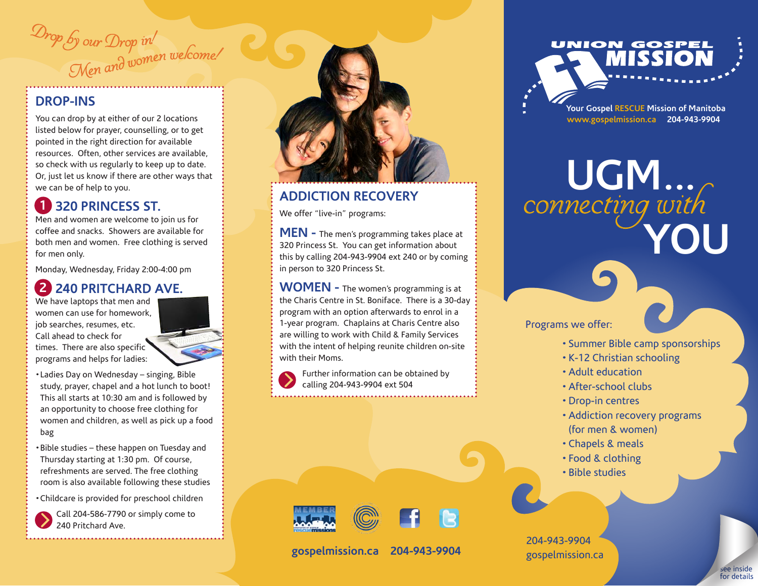<sup>D</sup><sup>r</sup><sup>o</sup><sup>p</sup> <sup>b</sup><sup>y</sup> <sup>o</sup>u<sup>r</sup> <sup>D</sup>r<sup>o</sup><sup>p</sup> <sup>i</sup>n! Men and women welcome!

#### **DROP-INS**

You can drop by at either of our 2 locations listed below for prayer, counselling, or to get pointed in the right direction for available resources. Often, other services are available, so check with us regularly to keep up to date. Or, just let us know if there are other ways that we can be of help to you.

# **1** 320 PRINCESS ST.

Men and women are welcome to join us for coffee and snacks. Showers are available for both men and women. Free clothing is served for men only.

Monday, Wednesday, Friday 2:00-4:00 pm

# **240 PRITCHARD AVE. 2**

We have laptops that men and women can use for homework, job searches, resumes, etc. Call ahead to check for times. There are also specific programs and helps for ladies:



- •Ladies Day on Wednesday singing, Bible study, prayer, chapel and a hot lunch to boot! This all starts at 10:30 am and is followed by an opportunity to choose free clothing for women and children, as well as pick up a food bag
- •Bible studies these happen on Tuesday and Thursday starting at 1:30 pm. Of course, refreshments are served. The free clothing room is also available following these studies
- •Childcare is provided for preschool children

Call 204-586-7790 or simply come to 240 Pritchard Ave.



# **ADDICTION RECOVERY**

We offer "live-in" programs:

**MEN -** The men's programming takes place at 320 Princess St. You can get information about this by calling 204-943-9904 ext 240 or by coming in person to 320 Princess St.

**WOMEN -** The women's programming is at the Charis Centre in St. Boniface. There is a 30-day program with an option afterwards to enrol in a 1-year program. Chaplains at Charis Centre also are willing to work with Child & Family Services with the intent of helping reunite children on-site with their Moms.

Further information can be obtained by calling 204-943-9904 ext 504



**www.gospelmission.ca 204-943-9904**

**UGM...** connecting with **YOU**

#### Programs we offer:

- Summer Bible camp sponsorships
- •K-12 Christian schooling
- •Adult education
- •After-school clubs
- •Drop-in centres
- •Addiction recovery programs (for men & women)
- •Chapels & meals
- Food & clothing
- Bible studies

204-943-9904 gospelmission.ca

















**gospelmission.ca 204-943-9904**